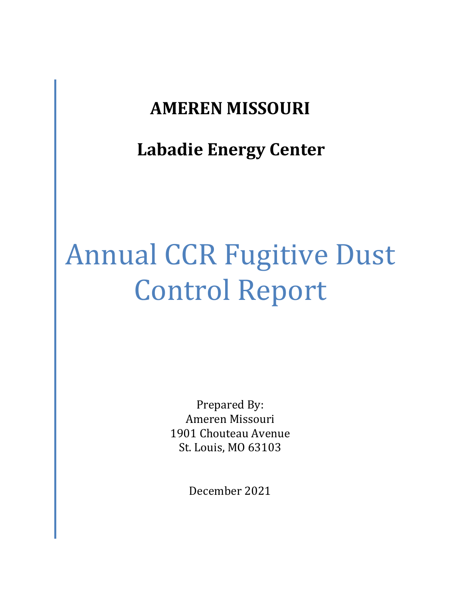# **AMEREN MISSOURI**

# **Labadie Energy Center**

# Annual CCR Fugitive Dust Control Report

Prepared By: Ameren Missouri 1901 Chouteau Avenue St. Louis, MO 63103

December 2021